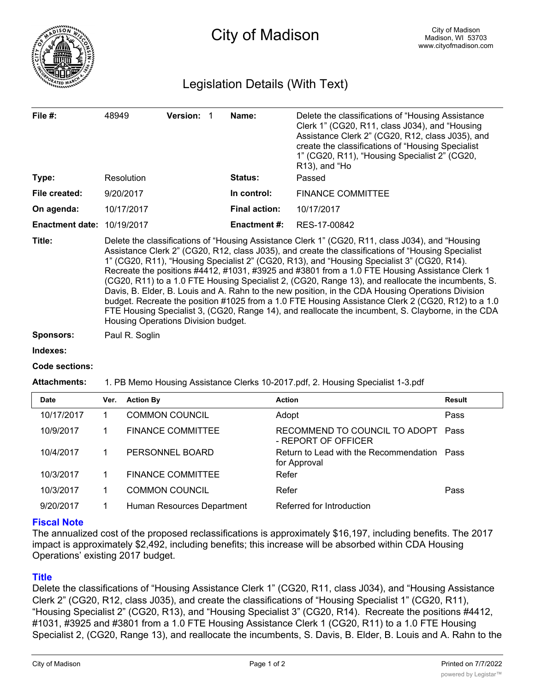

# Legislation Details (With Text)

| File $#$ :                        | <b>Version:</b><br>48949 |  | Name: | Delete the classifications of "Housing Assistance"<br>Clerk 1" (CG20, R11, class J034), and "Housing<br>Assistance Clerk 2" (CG20, R12, class J035), and<br>create the classifications of "Housing Specialist"<br>1" (CG20, R11), "Housing Specialist 2" (CG20,<br>$R13$ ), and "Ho |                          |
|-----------------------------------|--------------------------|--|-------|-------------------------------------------------------------------------------------------------------------------------------------------------------------------------------------------------------------------------------------------------------------------------------------|--------------------------|
| Type:                             | Resolution               |  |       | <b>Status:</b>                                                                                                                                                                                                                                                                      | Passed                   |
| File created:                     | 9/20/2017                |  |       | In control:                                                                                                                                                                                                                                                                         | <b>FINANCE COMMITTEE</b> |
| On agenda:                        | 10/17/2017               |  |       | <b>Final action:</b>                                                                                                                                                                                                                                                                | 10/17/2017               |
| <b>Enactment date: 10/19/2017</b> |                          |  |       | <b>Enactment #:</b>                                                                                                                                                                                                                                                                 | RES-17-00842             |

**Title:** Delete the classifications of "Housing Assistance Clerk 1" (CG20, R11, class J034), and "Housing Assistance Clerk 2" (CG20, R12, class J035), and create the classifications of "Housing Specialist 1" (CG20, R11), "Housing Specialist 2" (CG20, R13), and "Housing Specialist 3" (CG20, R14). Recreate the positions #4412, #1031, #3925 and #3801 from a 1.0 FTE Housing Assistance Clerk 1 (CG20, R11) to a 1.0 FTE Housing Specialist 2, (CG20, Range 13), and reallocate the incumbents, S. Davis, B. Elder, B. Louis and A. Rahn to the new position, in the CDA Housing Operations Division budget. Recreate the position #1025 from a 1.0 FTE Housing Assistance Clerk 2 (CG20, R12) to a 1.0 FTE Housing Specialist 3, (CG20, Range 14), and reallocate the incumbent, S. Clayborne, in the CDA Housing Operations Division budget.

**Sponsors:** Paul R. Soglin

**Indexes:**

#### **Code sections:**

#### **Attachments:** 1. PB Memo Housing Assistance Clerks 10-2017.pdf, 2. Housing Specialist 1-3.pdf

| <b>Date</b> | Ver. | <b>Action By</b>           | <b>Action</b>                                               | Result |
|-------------|------|----------------------------|-------------------------------------------------------------|--------|
| 10/17/2017  |      | <b>COMMON COUNCIL</b>      | Adopt                                                       | Pass   |
| 10/9/2017   |      | <b>FINANCE COMMITTEE</b>   | RECOMMEND TO COUNCIL TO ADOPT<br>- REPORT OF OFFICER        | Pass   |
| 10/4/2017   |      | PERSONNEL BOARD            | Return to Lead with the Recommendation Pass<br>for Approval |        |
| 10/3/2017   |      | <b>FINANCE COMMITTEE</b>   | Refer                                                       |        |
| 10/3/2017   |      | <b>COMMON COUNCIL</b>      | Refer                                                       | Pass   |
| 9/20/2017   |      | Human Resources Department | Referred for Introduction                                   |        |

## **Fiscal Note**

The annualized cost of the proposed reclassifications is approximately \$16,197, including benefits. The 2017 impact is approximately \$2,492, including benefits; this increase will be absorbed within CDA Housing Operations' existing 2017 budget.

## **Title**

Delete the classifications of "Housing Assistance Clerk 1" (CG20, R11, class J034), and "Housing Assistance Clerk 2" (CG20, R12, class J035), and create the classifications of "Housing Specialist 1" (CG20, R11), "Housing Specialist 2" (CG20, R13), and "Housing Specialist 3" (CG20, R14). Recreate the positions #4412, #1031, #3925 and #3801 from a 1.0 FTE Housing Assistance Clerk 1 (CG20, R11) to a 1.0 FTE Housing Specialist 2, (CG20, Range 13), and reallocate the incumbents, S. Davis, B. Elder, B. Louis and A. Rahn to the